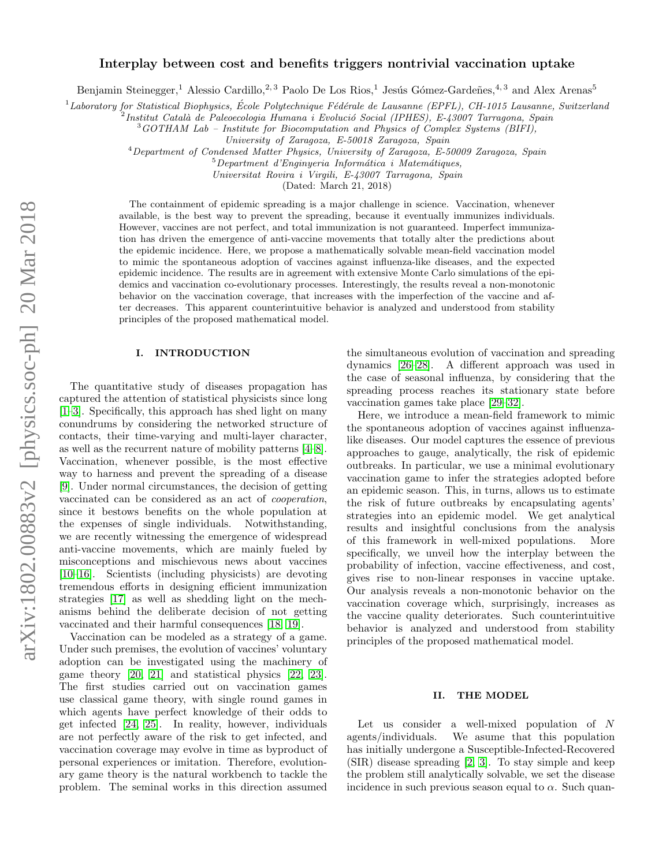# Interplay between cost and benefits triggers nontrivial vaccination uptake

Benjamin Steinegger,<sup>1</sup> Alessio Cardillo,<sup>2, 3</sup> Paolo De Los Rios,<sup>1</sup> Jesús Gómez-Gardeñes,<sup>4, 3</sup> and Alex Arenas<sup>5</sup>

 $1$ Laboratory for Statistical Biophysics, École Polytechnique Fédérale de Lausanne (EPFL), CH-1015 Lausanne, Switzerland

 $^{2}$ Institut Català de Paleoecologia Humana i Evolució Social (IPHES), E-43007 Tarragona, Spain

 $3GOTHAM$  Lab – Institute for Biocomputation and Physics of Complex Systems (BIFI),

University of Zaragoza, E-50018 Zaragoza, Spain

<sup>4</sup>Department of Condensed Matter Physics, University of Zaragoza, E-50009 Zaragoza, Spain

 $5$ Department d'Enginyeria Informática i Matemátiques,

Universitat Rovira i Virgili, E-43007 Tarragona, Spain

(Dated: March 21, 2018)

The containment of epidemic spreading is a major challenge in science. Vaccination, whenever available, is the best way to prevent the spreading, because it eventually immunizes individuals. However, vaccines are not perfect, and total immunization is not guaranteed. Imperfect immunization has driven the emergence of anti-vaccine movements that totally alter the predictions about the epidemic incidence. Here, we propose a mathematically solvable mean-field vaccination model to mimic the spontaneous adoption of vaccines against influenza-like diseases, and the expected epidemic incidence. The results are in agreement with extensive Monte Carlo simulations of the epidemics and vaccination co-evolutionary processes. Interestingly, the results reveal a non-monotonic behavior on the vaccination coverage, that increases with the imperfection of the vaccine and after decreases. This apparent counterintuitive behavior is analyzed and understood from stability principles of the proposed mathematical model.

### I. INTRODUCTION

The quantitative study of diseases propagation has captured the attention of statistical physicists since long [\[1–](#page-5-0)[3\]](#page-5-1). Specifically, this approach has shed light on many conundrums by considering the networked structure of contacts, their time-varying and multi-layer character, as well as the recurrent nature of mobility patterns [\[4–](#page-5-2)[8\]](#page-5-3). Vaccination, whenever possible, is the most effective way to harness and prevent the spreading of a disease [\[9\]](#page-5-4). Under normal circumstances, the decision of getting vaccinated can be considered as an act of cooperation, since it bestows benefits on the whole population at the expenses of single individuals. Notwithstanding, we are recently witnessing the emergence of widespread anti-vaccine movements, which are mainly fueled by misconceptions and mischievous news about vaccines [\[10–](#page-5-5)[16\]](#page-6-0). Scientists (including physicists) are devoting tremendous efforts in designing efficient immunization strategies [\[17\]](#page-6-1) as well as shedding light on the mechanisms behind the deliberate decision of not getting vaccinated and their harmful consequences [\[18,](#page-6-2) [19\]](#page-6-3).

Vaccination can be modeled as a strategy of a game. Under such premises, the evolution of vaccines' voluntary adoption can be investigated using the machinery of game theory [\[20,](#page-6-4) [21\]](#page-6-5) and statistical physics [\[22,](#page-6-6) [23\]](#page-6-7). The first studies carried out on vaccination games use classical game theory, with single round games in which agents have perfect knowledge of their odds to get infected [\[24,](#page-6-8) [25\]](#page-6-9). In reality, however, individuals are not perfectly aware of the risk to get infected, and vaccination coverage may evolve in time as byproduct of personal experiences or imitation. Therefore, evolutionary game theory is the natural workbench to tackle the problem. The seminal works in this direction assumed

the simultaneous evolution of vaccination and spreading dynamics [\[26–](#page-6-10)[28\]](#page-6-11). A different approach was used in the case of seasonal influenza, by considering that the spreading process reaches its stationary state before vaccination games take place [\[29–](#page-6-12)[32\]](#page-6-13).

Here, we introduce a mean-field framework to mimic the spontaneous adoption of vaccines against influenzalike diseases. Our model captures the essence of previous approaches to gauge, analytically, the risk of epidemic outbreaks. In particular, we use a minimal evolutionary vaccination game to infer the strategies adopted before an epidemic season. This, in turns, allows us to estimate the risk of future outbreaks by encapsulating agents' strategies into an epidemic model. We get analytical results and insightful conclusions from the analysis of this framework in well-mixed populations. More specifically, we unveil how the interplay between the probability of infection, vaccine effectiveness, and cost, gives rise to non-linear responses in vaccine uptake. Our analysis reveals a non-monotonic behavior on the vaccination coverage which, surprisingly, increases as the vaccine quality deteriorates. Such counterintuitive behavior is analyzed and understood from stability principles of the proposed mathematical model.

#### II. THE MODEL

Let us consider a well-mixed population of N agents/individuals. We asume that this population has initially undergone a Susceptible-Infected-Recovered (SIR) disease spreading [\[2,](#page-5-6) [3\]](#page-5-1). To stay simple and keep the problem still analytically solvable, we set the disease incidence in such previous season equal to  $\alpha$ . Such quan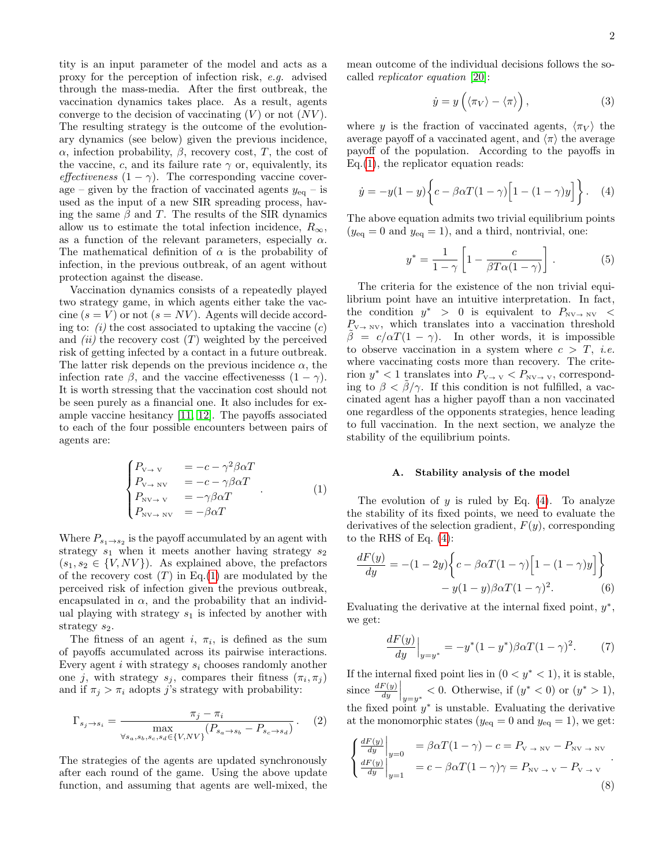tity is an input parameter of the model and acts as a proxy for the perception of infection risk, e.g. advised through the mass-media. After the first outbreak, the vaccination dynamics takes place. As a result, agents converge to the decision of vaccinating  $(V)$  or not  $(NV)$ . The resulting strategy is the outcome of the evolutionary dynamics (see below) given the previous incidence, α, infection probability, β, recovery cost, T, the cost of the vaccine, c, and its failure rate  $\gamma$  or, equivalently, its effectiveness  $(1 - \gamma)$ . The corresponding vaccine coverage – given by the fraction of vaccinated agents  $y_{eq}$  – is used as the input of a new SIR spreading process, having the same  $\beta$  and T. The results of the SIR dynamics allow us to estimate the total infection incidence,  $R_{\infty}$ , as a function of the relevant parameters, especially  $\alpha$ . The mathematical definition of  $\alpha$  is the probability of infection, in the previous outbreak, of an agent without protection against the disease.

Vaccination dynamics consists of a repeatedly played two strategy game, in which agents either take the vaccine  $(s = V)$  or not  $(s = NV)$ . Agents will decide according to:  $(i)$  the cost associated to uptaking the vaccine  $(c)$ and *(ii)* the recovery cost  $(T)$  weighted by the perceived risk of getting infected by a contact in a future outbreak. The latter risk depends on the previous incidence  $\alpha$ , the infection rate  $\beta$ , and the vaccine effectivenesss  $(1 - \gamma)$ . It is worth stressing that the vaccination cost should not be seen purely as a financial one. It also includes for example vaccine hesitancy [\[11,](#page-5-7) [12\]](#page-5-8). The payoffs associated to each of the four possible encounters between pairs of agents are:

<span id="page-1-0"></span>
$$
\begin{cases}\nP_{V \to V} &= -c - \gamma^2 \beta \alpha T \\
P_{V \to NV} &= -c - \gamma \beta \alpha T \\
P_{NV \to V} &= -\gamma \beta \alpha T \\
P_{NV \to NV} &= -\beta \alpha T\n\end{cases} (1)
$$

Where  $P_{s_1 \to s_2}$  is the payoff accumulated by an agent with strategy  $s_1$  when it meets another having strategy  $s_2$  $(s_1, s_2 \in \{V, NV\})$ . As explained above, the prefactors of the recovery cost  $(T)$  in Eq.[\(1\)](#page-1-0) are modulated by the perceived risk of infection given the previous outbreak, encapsulated in  $\alpha$ , and the probability that an individual playing with strategy  $s_1$  is infected by another with strategy  $s_2$ .

The fitness of an agent i,  $\pi_i$ , is defined as the sum of payoffs accumulated across its pairwise interactions. Every agent  $i$  with strategy  $s_i$  chooses randomly another one j, with strategy  $s_j$ , compares their fitness  $(\pi_i, \pi_j)$ and if  $\pi_j > \pi_i$  adopts j's strategy with probability:

<span id="page-1-3"></span>
$$
\Gamma_{s_j \to s_i} = \frac{\pi_j - \pi_i}{\max_{\forall s_a, s_b, s_c, s_d \in \{V, NV\}} (P_{s_a \to s_b} - P_{s_c \to s_d})} .
$$
 (2)

The strategies of the agents are updated synchronously after each round of the game. Using the above update function, and assuming that agents are well-mixed, the mean outcome of the individual decisions follows the socalled replicator equation [\[20\]](#page-6-4):

$$
\dot{y} = y\left(\langle \pi_V \rangle - \langle \pi \rangle\right),\tag{3}
$$

where y is the fraction of vaccinated agents,  $\langle \pi_V \rangle$  the average payoff of a vaccinated agent, and  $\langle \pi \rangle$  the average payoff of the population. According to the payoffs in  $Eq.(1)$  $Eq.(1)$ , the replicator equation reads:

<span id="page-1-1"></span>
$$
\dot{y} = -y(1-y)\left\{c - \beta\alpha T(1-\gamma)\left[1 - (1-\gamma)y\right]\right\}.
$$
 (4)

The above equation admits two trivial equilibrium points  $(y_{\text{eq}} = 0 \text{ and } y_{\text{eq}} = 1)$ , and a third, nontrivial, one:

<span id="page-1-2"></span>
$$
y^* = \frac{1}{1 - \gamma} \left[ 1 - \frac{c}{\beta T \alpha (1 - \gamma)} \right]. \tag{5}
$$

The criteria for the existence of the non trivial equilibrium point have an intuitive interpretation. In fact, the condition  $y^* > 0$  is equivalent to  $P_{\text{NV}\rightarrow N\text{V}} <$  $P_{V \to N}$ , which translates into a vaccination threshold  $\beta = c/\alpha T(1-\gamma)$ . In other words, it is impossible to observe vaccination in a system where  $c > T$ , *i.e.* where vaccinating costs more than recovery. The criterion  $y^*$  < 1 translates into  $P_{V\to V}$  <  $P_{NV\to V}$ , corresponding to  $\beta < \beta/\gamma$ . If this condition is not fulfilled, a vaccinated agent has a higher payoff than a non vaccinated one regardless of the opponents strategies, hence leading to full vaccination. In the next section, we analyze the stability of the equilibrium points.

### A. Stability analysis of the model

The evolution of  $y$  is ruled by Eq. [\(4\)](#page-1-1). To analyze the stability of its fixed points, we need to evaluate the derivatives of the selection gradient,  $F(y)$ , corresponding to the RHS of Eq. [\(4\)](#page-1-1):

$$
\frac{dF(y)}{dy} = -(1 - 2y) \left\{ c - \beta \alpha T (1 - \gamma) \left[ 1 - (1 - \gamma) y \right] \right\}
$$

$$
- y (1 - y) \beta \alpha T (1 - \gamma)^2. \tag{6}
$$

Evaluating the derivative at the internal fixed point,  $y^*$ , we get:

$$
\frac{dF(y)}{dy}\Big|_{y=y^*} = -y^*(1-y^*)\beta\alpha T(1-\gamma)^2.
$$
 (7)

If the internal fixed point lies in  $(0 < y^* < 1)$ , it is stable, since  $\frac{dF(y)}{dy}\Big|_{y=y^*} < 0$ . Otherwise, if  $(y^* < 0)$  or  $(y^* > 1)$ , the fixed point  $y^*$  is unstable. Evaluating the derivative at the monomorphic states ( $y_{eq} = 0$  and  $y_{eq} = 1$ ), we get:

$$
\begin{cases}\n\frac{dF(y)}{dy}\Big|_{y=0} = \beta \alpha T (1 - \gamma) - c = P_{\text{V} \to \text{NV}} - P_{\text{NV} \to \text{NV}} \\
\frac{dF(y)}{dy}\Big|_{y=1} = c - \beta \alpha T (1 - \gamma) \gamma = P_{\text{NV} \to \text{V}} - P_{\text{V} \to \text{V}}\n\end{cases}.
$$
\n(8)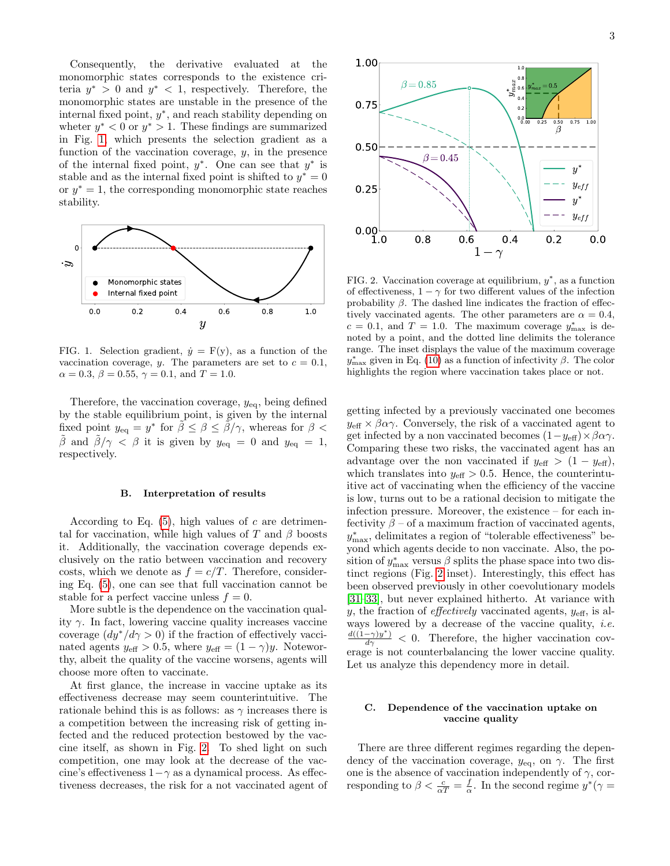Consequently, the derivative evaluated at the monomorphic states corresponds to the existence criteria  $y^* > 0$  and  $y^* < 1$ , respectively. Therefore, the monomorphic states are unstable in the presence of the internal fixed point,  $y^*$ , and reach stability depending on wheter  $y^* < 0$  or  $y^* > 1$ . These findings are summarized in Fig. [1,](#page-2-0) which presents the selection gradient as a function of the vaccination coverage,  $y$ , in the presence of the internal fixed point,  $y^*$ . One can see that  $y^*$  is stable and as the internal fixed point is shifted to  $y^* = 0$ or  $y^* = 1$ , the corresponding monomorphic state reaches stability.



<span id="page-2-0"></span>FIG. 1. Selection gradient,  $\dot{y} = F(y)$ , as a function of the vaccination coverage, y. The parameters are set to  $c = 0.1$ ,  $\alpha = 0.3, \beta = 0.55, \gamma = 0.1, \text{ and } T = 1.0.$ 

Therefore, the vaccination coverage,  $y_{eq}$ , being defined by the stable equilibrium point, is given by the internal fixed point  $y_{eq} = y^*$  for  $\tilde{\beta} \le \beta \le \tilde{\beta}/\gamma$ , whereas for  $\beta <$  $\beta$  and  $\beta/\gamma < \beta$  it is given by  $y_{\text{eq}} = 0$  and  $y_{\text{eq}} = 1$ , respectively.

## B. Interpretation of results

According to Eq.  $(5)$ , high values of c are detrimental for vaccination, while high values of T and  $\beta$  boosts it. Additionally, the vaccination coverage depends exclusively on the ratio between vaccination and recovery costs, which we denote as  $f = c/T$ . Therefore, considering Eq. [\(5\)](#page-1-2), one can see that full vaccination cannot be stable for a perfect vaccine unless  $f = 0$ .

More subtle is the dependence on the vaccination quality  $\gamma$ . In fact, lowering vaccine quality increases vaccine coverage  $(dy^*/d\gamma > 0)$  if the fraction of effectively vaccinated agents  $y_{\text{eff}} > 0.5$ , where  $y_{\text{eff}} = (1 - \gamma)y$ . Noteworthy, albeit the quality of the vaccine worsens, agents will choose more often to vaccinate.

At first glance, the increase in vaccine uptake as its effectiveness decrease may seem counterintuitive. The rationale behind this is as follows: as  $\gamma$  increases there is a competition between the increasing risk of getting infected and the reduced protection bestowed by the vaccine itself, as shown in Fig. [2.](#page-2-1) To shed light on such competition, one may look at the decrease of the vaccine's effectiveness  $1-\gamma$  as a dynamical process. As effec-



<span id="page-2-1"></span>FIG. 2. Vaccination coverage at equilibrium,  $y^*$ , as a function of effectiveness,  $1 - \gamma$  for two different values of the infection probability  $\beta$ . The dashed line indicates the fraction of effectively vaccinated agents. The other parameters are  $\alpha = 0.4$ ,  $c = 0.1$ , and  $T = 1.0$ . The maximum coverage  $y_{\text{max}}^*$  is denoted by a point, and the dotted line delimits the tolerance range. The inset displays the value of the maximum coverage  $y_{\text{max}}^*$  given in Eq. [\(10\)](#page-3-0) as a function of infectivity  $\beta$ . The color highlights the region where vaccination takes place or not.

tiveness decreases, the risk for a not vaccinated agent of 1.0 0.8 0.6 0.4 0.2 0.0 getting infected by a previously vaccinated one becomes  $y_{\text{eff}} \times \beta \alpha \gamma$ . Conversely, the risk of a vaccinated agent to get infected by a non vaccinated becomes  $(1-y_{\text{eff}}) \times \beta \alpha \gamma$ . Comparing these two risks, the vaccinated agent has an advantage over the non vaccinated if  $y_{\text{eff}} > (1 - y_{\text{eff}})$ , which translates into  $y_{\text{eff}} > 0.5$ . Hence, the counterintuitive act of vaccinating when the efficiency of the vaccine is low, turns out to be a rational decision to mitigate the infection pressure. Moreover, the existence – for each infectivity  $\beta$  – of a maximum fraction of vaccinated agents,  $y_{\text{max}}^*$ , delimitates a region of "tolerable effectiveness" beyond which agents decide to non vaccinate. Also, the position of  $y_{\text{max}}^*$  versus  $\beta$  splits the phase space into two distinct regions (Fig. [2](#page-2-1) inset). Interestingly, this effect has been observed previously in other coevolutionary models [\[31–](#page-6-14)[33\]](#page-6-15), but never explained hitherto. At variance with y, the fraction of *effectively* vaccinated agents,  $y_{\text{eff}}$ , is always lowered by a decrease of the vaccine quality, i.e.  $\frac{d((1-\gamma)y^*)}{d\gamma} < 0$ . Therefore, the higher vaccination coverage is not counterbalancing the lower vaccine quality. Let us analyze this dependency more in detail.

## C. Dependence of the vaccination uptake on vaccine quality

There are three different regimes regarding the dependency of the vaccination coverage,  $y_{eq}$ , on  $\gamma$ . The first one is the absence of vaccination independently of  $\gamma$ , corresponding to  $\beta < \frac{c}{\alpha T} = \frac{f}{\alpha}$ . In the second regime  $y^*(\gamma =$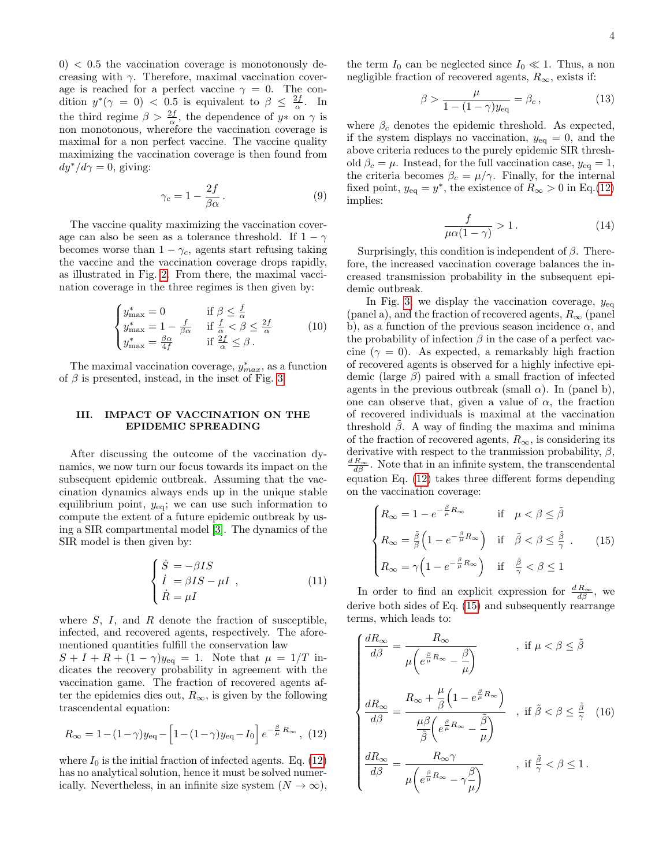$0$ )  $<$  0.5 the vaccination coverage is monotonously decreasing with  $\gamma$ . Therefore, maximal vaccination coverage is reached for a perfect vaccine  $\gamma = 0$ . The condition  $y^*(\gamma = 0) < 0.5$  is equivalent to  $\beta \leq \frac{2f}{\alpha}$ . In the third regime  $\beta > \frac{2f}{\alpha}$ , the dependence of  $y*$  on  $\gamma$  is non monotonous, wherefore the vaccination coverage is maximal for a non perfect vaccine. The vaccine quality maximizing the vaccination coverage is then found from  $dy^*/d\gamma = 0$ , giving:

$$
\gamma_c = 1 - \frac{2f}{\beta \alpha} \,. \tag{9}
$$

The vaccine quality maximizing the vaccination coverage can also be seen as a tolerance threshold. If  $1 - \gamma$ becomes worse than  $1 - \gamma_c$ , agents start refusing taking the vaccine and the vaccination coverage drops rapidly, as illustrated in Fig. [2.](#page-2-1) From there, the maximal vaccination coverage in the three regimes is then given by:

<span id="page-3-0"></span>
$$
\begin{cases} y_{\text{max}}^* = 0 & \text{if } \beta \leq \frac{f}{\alpha} \\ y_{\text{max}}^* = 1 - \frac{f}{\beta \alpha} & \text{if } \frac{f}{\alpha} < \beta \leq \frac{2f}{\alpha} \\ y_{\text{max}}^* = \frac{\beta \alpha}{4f} & \text{if } \frac{2f}{\alpha} \leq \beta. \end{cases}
$$
 (10)

The maximal vaccination coverage,  $y^*_{max}$ , as a function of  $\beta$  is presented, instead, in the inset of Fig. [3.](#page-4-0)

## III. IMPACT OF VACCINATION ON THE EPIDEMIC SPREADING

After discussing the outcome of the vaccination dynamics, we now turn our focus towards its impact on the subsequent epidemic outbreak. Assuming that the vaccination dynamics always ends up in the unique stable equilibrium point,  $y_{eq}$ ; we can use such information to compute the extent of a future epidemic outbreak by using a SIR compartmental model [\[3\]](#page-5-1). The dynamics of the SIR model is then given by:

$$
\begin{cases}\n\dot{S} = -\beta IS \\
\dot{I} = \beta IS - \mu I, \\
\dot{R} = \mu I\n\end{cases}
$$
\n(11)

where  $S$ ,  $I$ , and  $R$  denote the fraction of susceptible, infected, and recovered agents, respectively. The aforementioned quantities fulfill the conservation law  $S + I + R + (1 - \gamma)y_{\text{eq}} = 1$ . Note that  $\mu = 1/T$  indicates the recovery probability in agreement with the vaccination game. The fraction of recovered agents after the epidemics dies out,  $R_{\infty}$ , is given by the following trascendental equation:

<span id="page-3-1"></span>
$$
R_{\infty} = 1 - (1 - \gamma) y_{\text{eq}} - \left[ 1 - (1 - \gamma) y_{\text{eq}} - I_0 \right] e^{-\frac{\beta}{\mu} R_{\infty}}, \tag{12}
$$

where  $I_0$  is the initial fraction of infected agents. Eq. [\(12\)](#page-3-1) has no analytical solution, hence it must be solved numerically. Nevertheless, in an infinite size system  $(N \to \infty)$ , the term  $I_0$  can be neglected since  $I_0 \ll 1$ . Thus, a non negligible fraction of recovered agents,  $R_{\infty}$ , exists if:

<span id="page-3-3"></span>
$$
\beta > \frac{\mu}{1 - (1 - \gamma)y_{\text{eq}}} = \beta_c, \qquad (13)
$$

where  $\beta_c$  denotes the epidemic threshold. As expected, if the system displays no vaccination,  $y_{eq} = 0$ , and the above criteria reduces to the purely epidemic SIR threshold  $\beta_c = \mu$ . Instead, for the full vaccination case,  $y_{eq} = 1$ , the criteria becomes  $\beta_c = \mu/\gamma$ . Finally, for the internal fixed point,  $y_{eq} = y^*$ , the existence of  $R_{\infty} > 0$  in Eq.[\(12\)](#page-3-1) implies:

$$
\frac{f}{\mu \alpha (1 - \gamma)} > 1. \tag{14}
$$

Surprisingly, this condition is independent of  $\beta$ . Therefore, the increased vaccination coverage balances the increased transmission probability in the subsequent epidemic outbreak.

In Fig. [3,](#page-4-0) we display the vaccination coverage,  $y_{\text{eq}}$ (panel a), and the fraction of recovered agents,  $R_{\infty}$  (panel b), as a function of the previous season incidence  $\alpha$ , and the probability of infection  $\beta$  in the case of a perfect vaccine ( $\gamma = 0$ ). As expected, a remarkably high fraction of recovered agents is observed for a highly infective epidemic (large  $\beta$ ) paired with a small fraction of infected agents in the previous outbreak (small  $\alpha$ ). In (panel b), one can observe that, given a value of  $\alpha$ , the fraction of recovered individuals is maximal at the vaccination threshold  $\beta$ . A way of finding the maxima and minima of the fraction of recovered agents,  $R_{\infty}$ , is considering its derivative with respect to the tranmission probability,  $\beta$ ,  $\frac{dR_{\infty}}{d\beta}$ . Note that in an infinite system, the transcendental equation Eq. [\(12\)](#page-3-1) takes three different forms depending on the vaccination coverage:

<span id="page-3-2"></span>
$$
\begin{cases}\nR_{\infty} = 1 - e^{-\frac{\beta}{\mu}R_{\infty}} & \text{if } \mu < \beta \leq \tilde{\beta} \\
R_{\infty} = \frac{\tilde{\beta}}{\beta} \left( 1 - e^{-\frac{\beta}{\mu}R_{\infty}} \right) & \text{if } \tilde{\beta} < \beta \leq \frac{\tilde{\beta}}{\gamma} .\n\end{cases}
$$
\n
$$
(15)
$$
\n
$$
R_{\infty} = \gamma \left( 1 - e^{-\frac{\beta}{\mu}R_{\infty}} \right) \quad \text{if } \frac{\tilde{\beta}}{\gamma} < \beta \leq 1
$$

In order to find an explicit expression for  $\frac{d R_{\infty}}{d \beta}$ , we derive both sides of Eq. [\(15\)](#page-3-2) and subsequently rearrange terms, which leads to:

<span id="page-3-4"></span>
$$
\begin{cases}\n\frac{dR_{\infty}}{d\beta} = \frac{R_{\infty}}{\mu \left(e^{\frac{\beta}{\mu}R_{\infty}} - \frac{\beta}{\mu}\right)} & , \text{ if } \mu < \beta \leq \tilde{\beta} \\
\frac{dR_{\infty}}{d\beta} = \frac{R_{\infty} + \frac{\mu}{\beta} \left(1 - e^{\frac{\beta}{\mu}R_{\infty}}\right)}{\frac{\mu \beta}{\tilde{\beta}} \left(e^{\frac{\beta}{\mu}R_{\infty}} - \frac{\tilde{\beta}}{\mu}\right)} & , \text{ if } \tilde{\beta} < \beta \leq \frac{\tilde{\beta}}{\gamma} \quad (16) \\
\frac{dR_{\infty}}{d\beta} = \frac{R_{\infty} \gamma}{\mu \left(e^{\frac{\beta}{\mu}R_{\infty}} - \gamma \frac{\beta}{\mu}\right)} & , \text{ if } \frac{\tilde{\beta}}{\gamma} < \beta \leq 1.\n\end{cases}
$$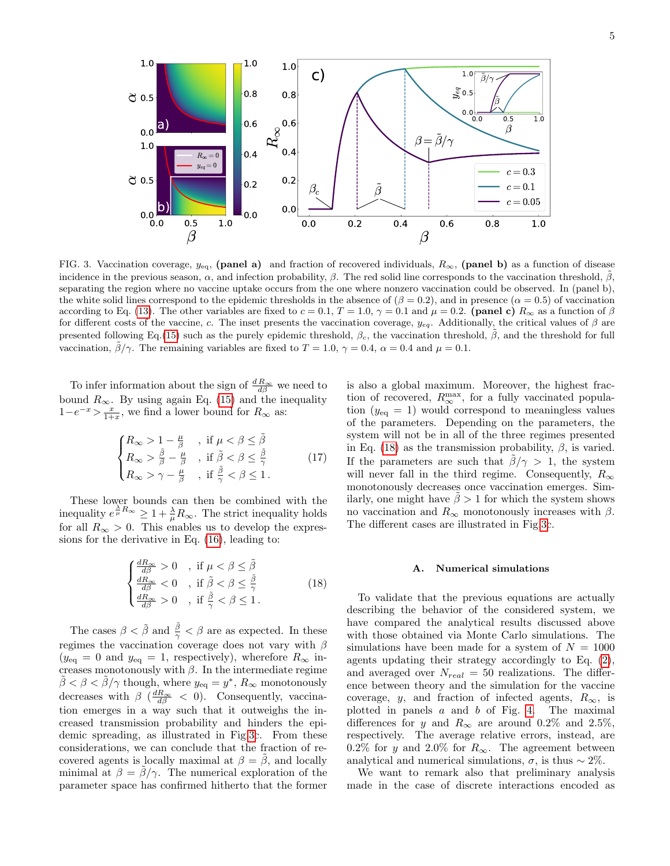

<span id="page-4-0"></span>FIG. 3. Vaccination coverage,  $y_{eq}$ , (panel a) and fraction of recovered individuals,  $R_{\infty}$ , (panel b) as a function of disease incidence in the previous season,  $\alpha$ , and infection probability,  $\beta$ . The red solid line corresponds to the vaccination threshold,  $\beta$ , separating the region where no vaccine uptake occurs from the one where nonzero vaccination could be observed. In (panel b), the white solid lines correspond to the epidemic thresholds in the absence of  $(\beta = 0.2)$ , and in presence  $(\alpha = 0.5)$  of vaccination according to Eq. [\(13\)](#page-3-3). The other variables are fixed to  $c = 0.1$ ,  $T = 1.0$ ,  $\gamma = 0.1$  and  $\mu = 0.2$ . (panel c)  $R_{\infty}$  as a function of  $\beta$ for different costs of the vaccine, c. The inset presents the vaccination coverage,  $y_{eq}$ . Additionally, the critical values of  $\beta$  are presented following Eq.[\(15\)](#page-3-2) such as the purely epidemic threshold,  $\beta_c$ , the vaccination threshold,  $\beta$ , and the threshold for full vaccination,  $\tilde{\beta}/\gamma$ . The remaining variables are fixed to  $T = 1.0$ ,  $\gamma = 0.4$ ,  $\alpha = 0.4$  and  $\mu = 0.1$ .

To infer information about the sign of  $\frac{d R_{\infty}}{d \beta}$  we need to bound  $R_{\infty}$ . By using again Eq. [\(15\)](#page-3-2) and the inequality  $1-e^{-x} > \frac{x}{1+x}$ , we find a lower bound for  $R_{\infty}$  as:

$$
\begin{cases}\nR_{\infty} > 1 - \frac{\mu}{\beta} \quad , \text{ if } \mu < \beta \leq \tilde{\beta} \\
R_{\infty} > \frac{\tilde{\beta}}{\beta} - \frac{\mu}{\beta} \quad , \text{ if } \tilde{\beta} < \beta \leq \frac{\tilde{\beta}}{\gamma} \\
R_{\infty} > \gamma - \frac{\mu}{\beta} \quad , \text{ if } \frac{\tilde{\beta}}{\gamma} < \beta \leq 1.\n\end{cases} \tag{17}
$$

These lower bounds can then be combined with the inequality  $e^{\frac{\lambda}{\mu}R_{\infty}} \geq 1 + \frac{\lambda}{\mu}R_{\infty}$ . The strict inequality holds for all  $R_{\infty} > 0$ . This enables us to develop the expressions for the derivative in Eq. [\(16\)](#page-3-4), leading to:

<span id="page-4-1"></span>
$$
\begin{cases}\n\frac{dR_{\infty}}{d\beta} > 0, \text{ if } \mu < \beta \leq \tilde{\beta} \\
\frac{dR_{\infty}}{d\beta} < 0, \text{ if } \tilde{\beta} < \beta \leq \frac{\tilde{\beta}}{\gamma} \\
\frac{dR_{\infty}}{d\beta} > 0, \text{ if } \frac{\tilde{\beta}}{\gamma} < \beta \leq 1.\n\end{cases}
$$
\n(18)

The cases  $\beta < \tilde{\beta}$  and  $\frac{\tilde{\beta}}{\gamma} < \beta$  are as expected. In these regimes the vaccination coverage does not vary with  $\beta$  $(y_{\text{eq}} = 0 \text{ and } y_{\text{eq}} = 1, \text{ respectively}), \text{ where for } R_{\infty} \text{ in-}$ creases monotonously with  $\beta$ . In the intermediate regime  $\tilde{\beta} < \beta < \tilde{\beta}/\gamma$  though, where  $y_{eq} = y^*$ ,  $R_{\infty}$  monotonously decreases with  $\beta \left( \frac{dR_{\infty}}{d\beta} \right)$  < 0). Consequently, vaccination emerges in a way such that it outweighs the increased transmission probability and hinders the epidemic spreading, as illustrated in Fig[.3c](#page-4-0). From these considerations, we can conclude that the fraction of recovered agents is locally maximal at  $\beta = \beta$ , and locally minimal at  $\beta = \tilde{\beta}/\gamma$ . The numerical exploration of the parameter space has confirmed hitherto that the former

is also a global maximum. Moreover, the highest fraction of recovered,  $R_{\infty}^{\max}$ , for a fully vaccinated population  $(y_{eq} = 1)$  would correspond to meaningless values of the parameters. Depending on the parameters, the system will not be in all of the three regimes presented in Eq. [\(18\)](#page-4-1) as the transmission probability,  $\beta$ , is varied. If the parameters are such that  $\beta/\gamma > 1$ , the system will never fall in the third regime. Consequently,  $R_{\infty}$ monotonously decreases once vaccination emerges. Similarly, one might have  $\beta > 1$  for which the system shows no vaccination and  $R_{\infty}$  monotonously increases with  $\beta$ . The different cases are illustrated in Fig[.3c](#page-4-0).

### A. Numerical simulations

To validate that the previous equations are actually describing the behavior of the considered system, we have compared the analytical results discussed above with those obtained via Monte Carlo simulations. The simulations have been made for a system of  $N = 1000$ agents updating their strategy accordingly to Eq. [\(2\)](#page-1-3), and averaged over  $N_{real} = 50$  realizations. The difference between theory and the simulation for the vaccine coverage, y, and fraction of infected agents,  $R_{\infty}$ , is plotted in panels  $a$  and  $b$  of Fig. [4.](#page-5-9) The maximal differences for y and  $R_{\infty}$  are around 0.2% and 2.5%, respectively. The average relative errors, instead, are 0.2% for y and 2.0% for  $R_{\infty}$ . The agreement between analytical and numerical simulations,  $\sigma$ , is thus ~ 2%.

We want to remark also that preliminary analysis made in the case of discrete interactions encoded as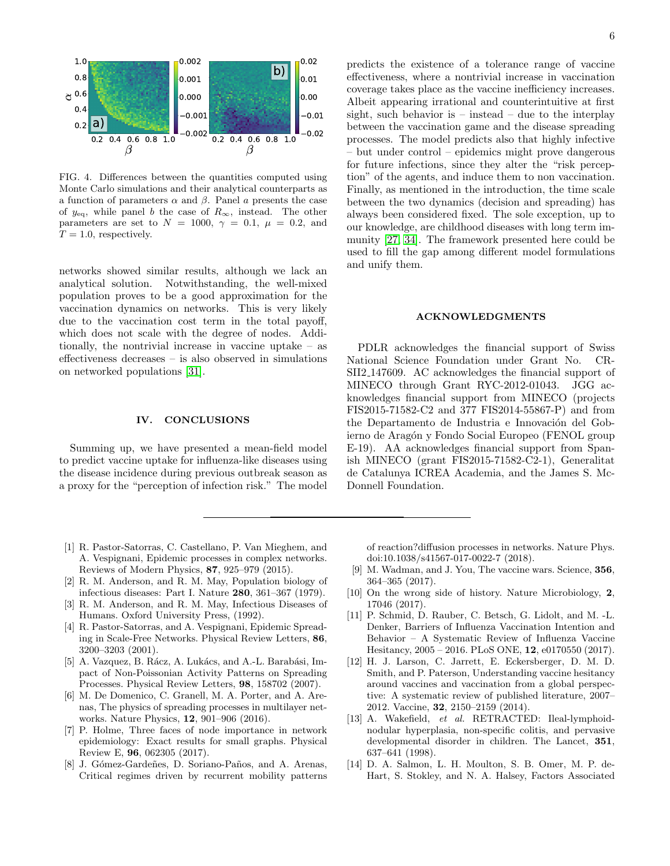

<span id="page-5-9"></span>FIG. 4. Differences between the quantities computed using Monte Carlo simulations and their analytical counterparts as a function of parameters α and β. Panel a presents the case of  $y_{eq}$ , while panel b the case of  $R_{\infty}$ , instead. The other parameters are set to  $N = 1000, \gamma = 0.1, \mu = 0.2, \text{ and}$  $T = 1.0$ , respectively.

networks showed similar results, although we lack an analytical solution. Notwithstanding, the well-mixed population proves to be a good approximation for the vaccination dynamics on networks. This is very likely due to the vaccination cost term in the total payoff, which does not scale with the degree of nodes. Additionally, the nontrivial increase in vaccine uptake – as effectiveness decreases – is also observed in simulations on networked populations [\[31\]](#page-6-14).

## IV. CONCLUSIONS

Summing up, we have presented a mean-field model to predict vaccine uptake for influenza-like diseases using the disease incidence during previous outbreak season as a proxy for the "perception of infection risk." The model

- <span id="page-5-0"></span>[1] R. Pastor-Satorras, C. Castellano, P. Van Mieghem, and A. Vespignani, Epidemic processes in complex networks. Reviews of Modern Physics, 87, 925–979 (2015).
- <span id="page-5-6"></span>[2] R. M. Anderson, and R. M. May, Population biology of infectious diseases: Part I. Nature 280, 361–367 (1979).
- <span id="page-5-1"></span>[3] R. M. Anderson, and R. M. May, Infectious Diseases of Humans. Oxford University Press, (1992).
- <span id="page-5-2"></span>[4] R. Pastor-Satorras, and A. Vespignani, Epidemic Spreading in Scale-Free Networks. Physical Review Letters, 86, 3200–3203 (2001).
- [5] A. Vazquez, B. Rácz, A. Lukács, and A.-L. Barabási, Impact of Non-Poissonian Activity Patterns on Spreading Processes. Physical Review Letters, 98, 158702 (2007).
- [6] M. De Domenico, C. Granell, M. A. Porter, and A. Arenas, The physics of spreading processes in multilayer networks. Nature Physics, 12, 901–906 (2016).
- [7] P. Holme, Three faces of node importance in network epidemiology: Exact results for small graphs. Physical Review E, 96, 062305 (2017).
- <span id="page-5-3"></span>[8] J. Gómez-Gardeñes, D. Soriano-Paños, and A. Arenas, Critical regimes driven by recurrent mobility patterns

predicts the existence of a tolerance range of vaccine effectiveness, where a nontrivial increase in vaccination coverage takes place as the vaccine inefficiency increases. Albeit appearing irrational and counterintuitive at first sight, such behavior is  $-$  instead  $-$  due to the interplay between the vaccination game and the disease spreading processes. The model predicts also that highly infective – but under control – epidemics might prove dangerous for future infections, since they alter the "risk perception" of the agents, and induce them to non vaccination. Finally, as mentioned in the introduction, the time scale between the two dynamics (decision and spreading) has always been considered fixed. The sole exception, up to our knowledge, are childhood diseases with long term immunity [\[27,](#page-6-16) [34\]](#page-6-17). The framework presented here could be used to fill the gap among different model formulations and unify them.

### ACKNOWLEDGMENTS

PDLR acknowledges the financial support of Swiss National Science Foundation under Grant No. CR-SII2 147609. AC acknowledges the financial support of MINECO through Grant RYC-2012-01043. JGG acknowledges financial support from MINECO (projects FIS2015-71582-C2 and 377 FIS2014-55867-P) and from the Departamento de Industria e Innovación del Gobierno de Aragón y Fondo Social Europeo (FENOL group E-19). AA acknowledges financial support from Spanish MINECO (grant FIS2015-71582-C2-1), Generalitat de Catalunya ICREA Academia, and the James S. Mc-Donnell Foundation.

of reaction?diffusion processes in networks. Nature Phys. doi:10.1038/s41567-017-0022-7 (2018).

- <span id="page-5-4"></span>[9] M. Wadman, and J. You, The vaccine wars. Science, 356, 364–365 (2017).
- <span id="page-5-5"></span>[10] On the wrong side of history. Nature Microbiology, 2, 17046 (2017).
- <span id="page-5-7"></span>[11] P. Schmid, D. Rauber, C. Betsch, G. Lidolt, and M. -L. Denker, Barriers of Influenza Vaccination Intention and Behavior – A Systematic Review of Influenza Vaccine Hesitancy, 2005 – 2016. PLoS ONE, 12, e0170550 (2017).
- <span id="page-5-8"></span>[12] H. J. Larson, C. Jarrett, E. Eckersberger, D. M. D. Smith, and P. Paterson, Understanding vaccine hesitancy around vaccines and vaccination from a global perspective: A systematic review of published literature, 2007– 2012. Vaccine, 32, 2150–2159 (2014).
- [13] A. Wakefield, et al. RETRACTED: Ileal-lymphoidnodular hyperplasia, non-specific colitis, and pervasive developmental disorder in children. The Lancet, 351, 637–641 (1998).
- [14] D. A. Salmon, L. H. Moulton, S. B. Omer, M. P. de-Hart, S. Stokley, and N. A. Halsey, Factors Associated